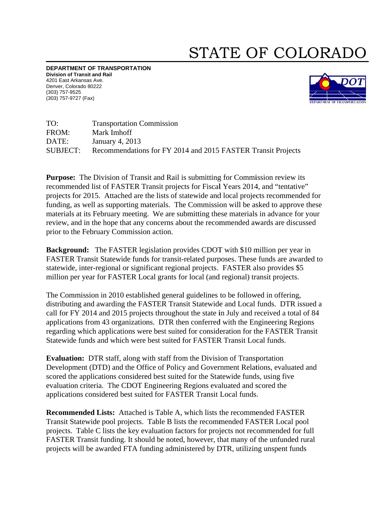## STATE OF COLORADO

DEPARTMENT OF TRANSPORTATION Division of Transit and Rail 4201 East A Arkansas Ave. Denver, Col orado 80222 (303) 757-95 525 (303) 757-97 727 (Fax)



TO: FROM: DATE:  $SIIBIECT$ Transportation Commission Mark Imhoff January 4, 2013 CT: Recommendations for FY 2014 and 2015 FASTER Transit Projects

Purpose: The Division of Transit and Rail is submitting for Commission review its recommended list of FASTER Transit projects for Fiscal Years 2014, and "tentative" projects for 2015. Attached are the lists of statewide and local projects recommended for funding, as well as supporting materials. The Commission will be asked to approve these materials at its February meeting. We are submitting these materials in advance for your review, and in the hope that any concerns about the recommended awards are discussed prior to the February Commission action.

**Background:** The FASTER legislation provides CDOT with \$10 million per year in FASTER Transit Statewide funds for transit-related purposes. These funds are awarded to statewide, inter-regional or significant regional projects. FASTER also provides \$5 million per year for FASTER Local grants for local (and regional) transit projects.

The Commission in 2010 established general guidelines to be followed in offering, distributing and awarding the FASTER Transit Statewide and Local funds. DTR issued a call for FY 2014 and 2015 projects throughout the state in July and received a total of 84 applications from 43 organizations. DTR then conferred with the Engineering Regions regarding which applications were best suited for consideration for the FASTER Transit Statewide funds and which were best suited for FASTER Transit Local funds.

**Evaluation:** DTR staff, along with staff from the Division of Transportation Development (DTD) and the Office of Policy and Government Relations, evaluated and scored the applications considered best suited for the Statewide funds, using five evaluation criteria. The CDOT Engineering Regions evaluated and scored the applications considered best suited for FASTER Transit Local funds. Scored the applications considered best suited for the Statewide funds, using five<br>
evaluation criteria. The CDOT Engineering Regions evaluated and scored the<br>
applications considered best suited for FASTER Transit Local f

Transit Statewide pool projects. Table B lists the recommended FASTER Local pool projects. Table C lists the key evaluation factors for projects not recommended for full FASTER Transit funding. It should be noted, however, that many of the unfunded rural projects will be awarded FTA funding administered by DTR, utilizing unspent funds